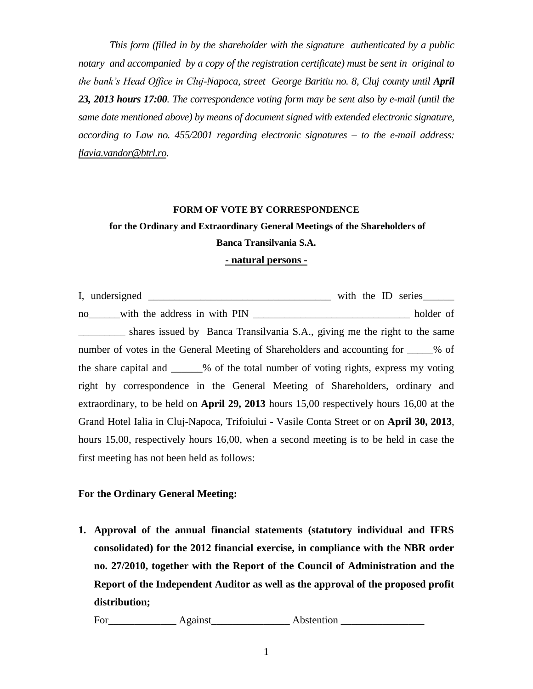*This form (filled in by the shareholder with the signature authenticated by a public notary and accompanied by a copy of the registration certificate) must be sent in original to the bank's Head Office in Cluj-Napoca, street George Baritiu no. 8, Cluj county until April 23, 2013 hours 17:00. The correspondence voting form may be sent also by e-mail (until the same date mentioned above) by means of document signed with extended electronic signature, according to Law no. 455/2001 regarding electronic signatures – to the e-mail address: [flavia.vandor@btrl.ro.](mailto:flavia.vandor@btrl.ro)*

## **FORM OF VOTE BY CORRESPONDENCE**

## **for the Ordinary and Extraordinary General Meetings of the Shareholders of Banca Transilvania S.A.**

## **- natural persons -**

I, undersigned \_\_\_\_\_\_\_\_\_\_\_\_\_\_\_\_\_\_\_\_\_\_\_\_\_\_\_\_\_\_\_\_\_\_\_ with the ID series\_\_\_\_\_\_ no\_\_\_\_\_\_with the address in with PIN \_\_\_\_\_\_\_\_\_\_\_\_\_\_\_\_\_\_\_\_\_\_\_\_\_\_\_\_\_\_ holder of shares issued by Banca Transilvania S.A., giving me the right to the same number of votes in the General Meeting of Shareholders and accounting for  $\%$  of the share capital and \_\_\_\_\_\_% of the total number of voting rights, express my voting right by correspondence in the General Meeting of Shareholders, ordinary and extraordinary, to be held on **April 29, 2013** hours 15,00 respectively hours 16,00 at the Grand Hotel Ialia in Cluj-Napoca, Trifoiului - Vasile Conta Street or on **April 30, 2013**, hours 15,00, respectively hours 16,00, when a second meeting is to be held in case the first meeting has not been held as follows:

## **For the Ordinary General Meeting:**

**1. Approval of the annual financial statements (statutory individual and IFRS consolidated) for the 2012 financial exercise, in compliance with the NBR order no. 27/2010, together with the Report of the Council of Administration and the Report of the Independent Auditor as well as the approval of the proposed profit distribution;**

For\_\_\_\_\_\_\_\_\_\_\_\_\_ Against\_\_\_\_\_\_\_\_\_\_\_\_\_\_\_ Abstention \_\_\_\_\_\_\_\_\_\_\_\_\_\_\_\_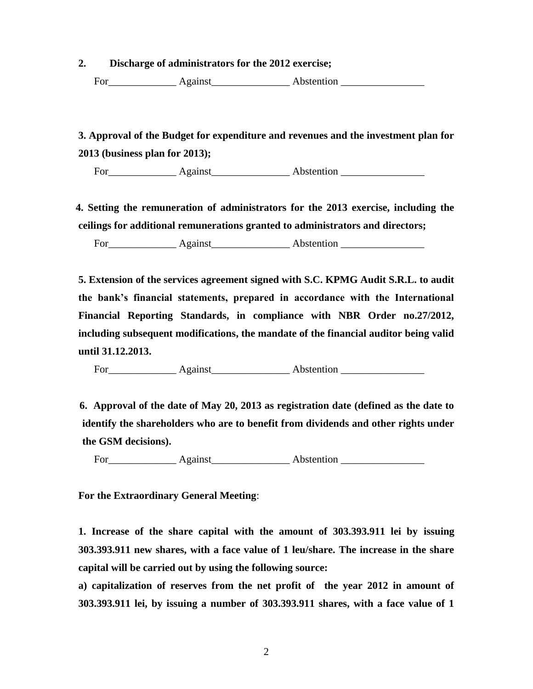**2. Discharge of administrators for the 2012 exercise;** 

For\_\_\_\_\_\_\_\_\_\_\_\_\_ Against\_\_\_\_\_\_\_\_\_\_\_\_\_\_\_ Abstention \_\_\_\_\_\_\_\_\_\_\_\_\_\_\_\_

 **3. Approval of the Budget for expenditure and revenues and the investment plan for 2013 (business plan for 2013);** 

For Against Abstention **Abstention** 

 **4. Setting the remuneration of administrators for the 2013 exercise, including the ceilings for additional remunerations granted to administrators and directors;**

For\_\_\_\_\_\_\_\_\_\_\_\_\_ Against\_\_\_\_\_\_\_\_\_\_\_\_\_\_\_ Abstention \_\_\_\_\_\_\_\_\_\_\_\_\_\_\_\_

**5. Extension of the services agreement signed with S.C. KPMG Audit S.R.L. to audit the bank's financial statements, prepared in accordance with the International Financial Reporting Standards, in compliance with NBR Order no.27/2012, including subsequent modifications, the mandate of the financial auditor being valid until 31.12.2013.**

For\_\_\_\_\_\_\_\_\_\_\_\_\_ Against\_\_\_\_\_\_\_\_\_\_\_\_\_\_\_ Abstention \_\_\_\_\_\_\_\_\_\_\_\_\_\_\_\_

 **6. Approval of the date of May 20, 2013 as registration date (defined as the date to identify the shareholders who are to benefit from dividends and other rights under the GSM decisions).** 

For Against Abstention **Abstention** 

**For the Extraordinary General Meeting**:

**1. Increase of the share capital with the amount of 303.393.911 lei by issuing 303.393.911 new shares, with a face value of 1 leu/share. The increase in the share capital will be carried out by using the following source:**

**a) capitalization of reserves from the net profit of the year 2012 in amount of 303.393.911 lei, by issuing a number of 303.393.911 shares, with a face value of 1**